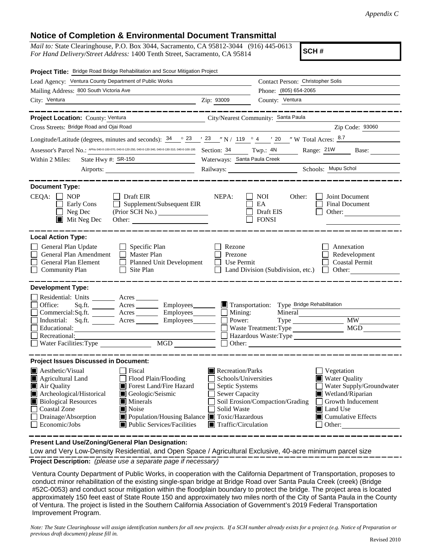## **Notice of Completion & Environmental Document Transmittal**

*Mail to:* State Clearinghouse, P.O. Box 3044, Sacramento, CA 95812-3044 (916) 445-0613 *For Hand Delivery/Street Address:* 1400 Tenth Street, Sacramento, CA 95814

**SCH #**

| Project Title: Bridge Road Bridge Rehabilitation and Scour Mitigation Project                                                                                                                                                                                                                                                                                                             |                                                                                                                                          |                                                                                                                                                                                               |  |
|-------------------------------------------------------------------------------------------------------------------------------------------------------------------------------------------------------------------------------------------------------------------------------------------------------------------------------------------------------------------------------------------|------------------------------------------------------------------------------------------------------------------------------------------|-----------------------------------------------------------------------------------------------------------------------------------------------------------------------------------------------|--|
| Lead Agency: Ventura County Department of Public Works                                                                                                                                                                                                                                                                                                                                    |                                                                                                                                          | Contact Person: Christopher Solis                                                                                                                                                             |  |
| Mailing Address: 800 South Victoria Ave                                                                                                                                                                                                                                                                                                                                                   |                                                                                                                                          | Phone: (805) 654-2065                                                                                                                                                                         |  |
| City: Ventura<br>$\overline{2ip: 93009}$                                                                                                                                                                                                                                                                                                                                                  |                                                                                                                                          | County: Ventura                                                                                                                                                                               |  |
|                                                                                                                                                                                                                                                                                                                                                                                           |                                                                                                                                          |                                                                                                                                                                                               |  |
| Project Location: County: Ventura<br>City/Nearest Community: Santa Paula                                                                                                                                                                                                                                                                                                                  |                                                                                                                                          |                                                                                                                                                                                               |  |
| Cross Streets: Bridge Road and Ojai Road                                                                                                                                                                                                                                                                                                                                                  |                                                                                                                                          | Zip Code: 93060                                                                                                                                                                               |  |
| Longitude/Latitude (degrees, minutes and seconds): $\frac{34}{9}$ $\frac{23}{12}$ $\frac{123}{12}$ $\frac{123}{12}$ $\frac{123}{12}$ $\frac{123}{12}$ $\frac{123}{12}$ $\frac{123}{12}$ $\frac{123}{12}$ $\frac{123}{12}$ $\frac{123}{12}$ $\frac{123}{12}$ $\frac{123}{12}$ $\frac{$                                                                                                     |                                                                                                                                          |                                                                                                                                                                                               |  |
| Assessor's Parcel No.: APNs 040-0-100-070, 040-0-120-250, 040-0-120-340, 040-0-130-310, 040-0-100-195                                                                                                                                                                                                                                                                                     |                                                                                                                                          | Section: 34 Twp.: 4N Range: 21W Base:                                                                                                                                                         |  |
| State Hwy #: SR-150<br>Within 2 Miles:<br><u> 1989 - John Barn Barn, amerikansk politiker</u>                                                                                                                                                                                                                                                                                             | Waterways: Santa Paula Creek                                                                                                             |                                                                                                                                                                                               |  |
|                                                                                                                                                                                                                                                                                                                                                                                           |                                                                                                                                          | Railways: Schools: Mupu Schol                                                                                                                                                                 |  |
|                                                                                                                                                                                                                                                                                                                                                                                           |                                                                                                                                          |                                                                                                                                                                                               |  |
| <b>Document Type:</b><br>CEQA:<br>$\Box$ NOP<br>$\Box$ Draft EIR<br>$\Box$ Supplement/Subsequent EIR<br>Early Cons<br>(Prior SCH No.)<br>$\Box$ Neg Dec<br>$\blacksquare$ Mit Neg Dec                                                                                                                                                                                                     | NEPA:                                                                                                                                    | NOI.<br>Other:<br>Joint Document<br>Final Document<br>EA<br>Draft EIS<br>Other:<br><b>FONSI</b>                                                                                               |  |
| <b>Local Action Type:</b>                                                                                                                                                                                                                                                                                                                                                                 |                                                                                                                                          |                                                                                                                                                                                               |  |
| General Plan Update<br>$\Box$ Specific Plan<br>General Plan Amendment<br>Master Plan<br>$\Box$<br>General Plan Element<br>Planned Unit Development<br>$\Box$ Site Plan<br><b>Community Plan</b>                                                                                                                                                                                           | Rezone<br>Prezone<br>Use Permit                                                                                                          | Annexation<br>Redevelopment<br>Coastal Permit<br>Land Division (Subdivision, etc.) $\Box$ Other:                                                                                              |  |
| <b>Development Type:</b>                                                                                                                                                                                                                                                                                                                                                                  |                                                                                                                                          |                                                                                                                                                                                               |  |
| Residential: Units _______ Acres<br>Office:<br>Sq.ft. _________ Acres __________ Employees________ ■ Transportation: Type Bridge Rehabilitation<br>Commercial:Sq.ft. ________ Acres _________ Employees _______ __ Mining:<br>Industrial: Sq.ft. <u>Acres</u> Acres Employees<br>Recreational:                                                                                            | Power:<br>$\Box$ Other:                                                                                                                  | Mineral<br>Type MW_<br>MGD<br>Waste Treatment: Type<br>Hazardous Waste:Type                                                                                                                   |  |
| <b>Project Issues Discussed in Document:</b>                                                                                                                                                                                                                                                                                                                                              |                                                                                                                                          |                                                                                                                                                                                               |  |
| Aesthetic/Visual<br>  Fiscal<br>Flood Plain/Flooding<br>Agricultural Land<br>Forest Land/Fire Hazard<br>Air Quality<br>Archeological/Historical<br>Geologic/Seismic<br>Biological Resources<br>$\blacksquare$ Minerals<br><b>Coastal Zone</b><br>Noise<br>Drainage/Absorption<br>Population/Housing Balance Toxic/Hazardous<br>Economic/Jobs<br>$\blacksquare$ Public Services/Facilities | Recreation/Parks<br>Schools/Universities<br>Septic Systems<br><b>Sewer Capacity</b><br>Solid Waste<br>$\blacksquare$ Traffic/Circulation | Vegetation<br><b>Water Quality</b><br>Water Supply/Groundwater<br>Wetland/Riparian<br>Soil Erosion/Compaction/Grading<br>Growth Inducement<br>Land Use<br>Cumulative Effects<br>$\Box$ Other: |  |

**Present Land Use/Zoning/General Plan Designation:**

**Project Description:** *(please use a separate page if necessary)* Low and Very Low-Density Residential, and Open Space / Agricultural Exclusive, 40-acre minimum parcel size

Ventura County Department of Public Works, in cooperation with the California Department of Transportation, proposes to conduct minor rehabilitation of the existing single-span bridge at Bridge Road over Santa Paula Creek (creek) (Bridge #52C-0053) and conduct scour mitigation within the floodplain boundary to protect the bridge. The project area is located approximately 150 feet east of State Route 150 and approximately two miles north of the City of Santa Paula in the County of Ventura. The project is listed in the Southern California Association of Government's 2019 Federal Transportation Improvement Program.

*Note: The State Clearinghouse will assign identification numbers for all new projects. If a SCH number already exists for a project (e.g. Notice of Preparation or previous draft document) please fill in.*